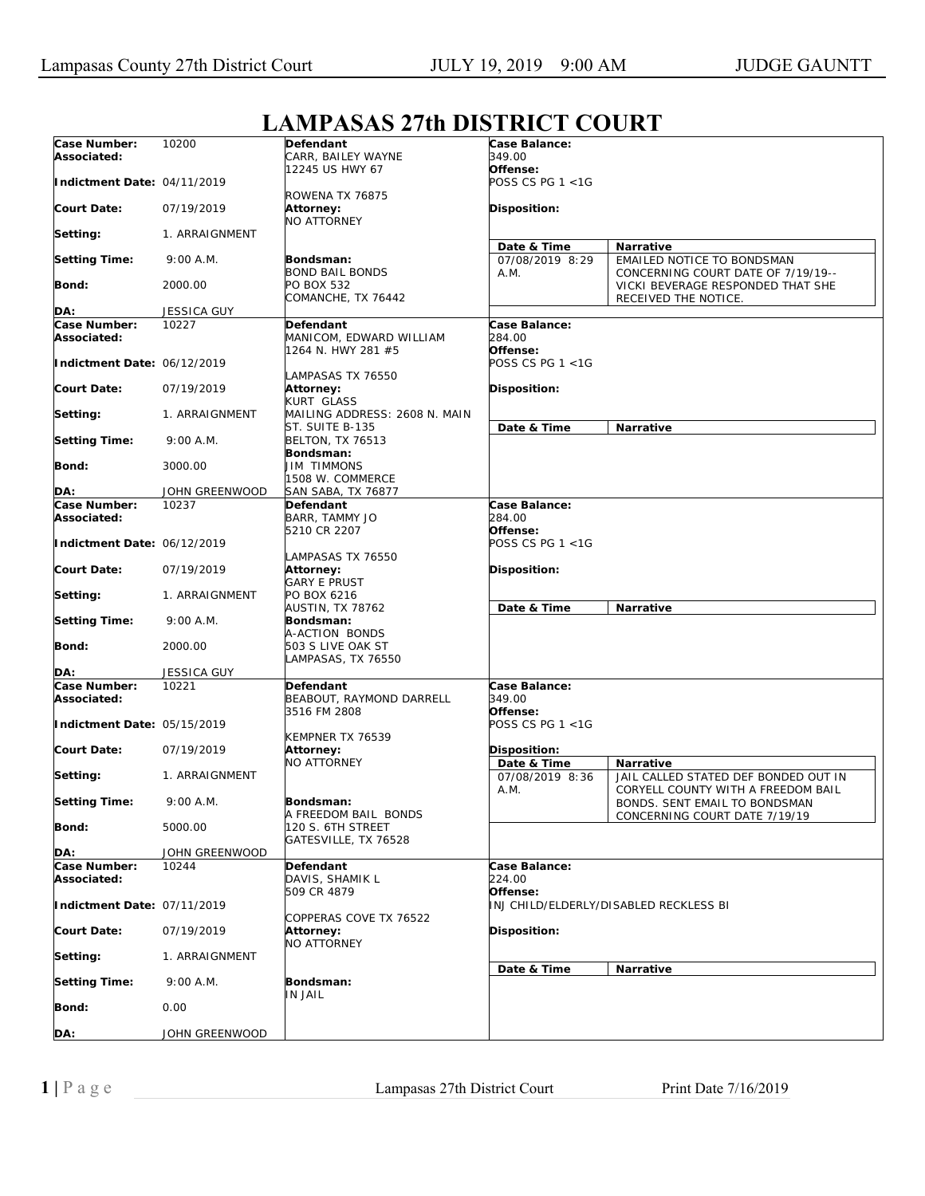## **LAMPASAS 27th DISTRICT COURT**

| Case Number:<br>Associated: | 10200              | <b>Defendant</b><br>CARR, BAILEY WAYNE                            | Case Balance:<br>349.00             |                                                                         |
|-----------------------------|--------------------|-------------------------------------------------------------------|-------------------------------------|-------------------------------------------------------------------------|
| Indictment Date: 04/11/2019 |                    | 12245 US HWY 67                                                   | Offense:<br>POSS CS PG 1 <1G        |                                                                         |
| <b>Court Date:</b>          | 07/19/2019         | ROWENA TX 76875<br>Attorney:<br><b>NO ATTORNEY</b>                | <b>Disposition:</b>                 |                                                                         |
| Setting:                    | 1. ARRAIGNMENT     |                                                                   |                                     |                                                                         |
| <b>Setting Time:</b>        | 9:00 A.M.          | Bondsman:                                                         | Date & Time<br>07/08/2019 8:29      | Narrative<br>EMAILED NOTICE TO BONDSMAN                                 |
| <b>Bond:</b>                | 2000.00            | <b>BOND BAIL BONDS</b><br>PO BOX 532<br>COMANCHE, TX 76442        | A.M.                                | CONCERNING COURT DATE OF 7/19/19--<br>VICKI BEVERAGE RESPONDED THAT SHE |
|                             |                    |                                                                   |                                     | RECEIVED THE NOTICE.                                                    |
| DA:                         | JESSICA GUY        |                                                                   |                                     |                                                                         |
| Case Number:<br>Associated: | 10227              | Defendant<br>MANICOM, EDWARD WILLIAM<br>1264 N. HWY 281 #5        | Case Balance:<br>284.00<br>Offense: |                                                                         |
| Indictment Date: 06/12/2019 |                    | AMPASAS TX 76550                                                  | POSS CS PG 1 <1G                    |                                                                         |
| <b>Court Date:</b>          | 07/19/2019         | Attorney:<br>KURT GLASS                                           | <b>Disposition:</b>                 |                                                                         |
| Setting:                    | 1. ARRAIGNMENT     | MAILING ADDRESS: 2608 N. MAIN<br>ST. SUITE B-135                  | Date & Time                         | Narrative                                                               |
| <b>Setting Time:</b>        | 9:00 A.M.          | <b>BELTON, TX 76513</b>                                           |                                     |                                                                         |
| Bond:                       | 3000.00            | Bondsman:<br><b>JIM TIMMONS</b><br>1508 W. COMMERCE               |                                     |                                                                         |
| DA:                         | JOHN GREENWOOD     | SAN SABA, TX 76877                                                |                                     |                                                                         |
| Case Number:                | 10237              | Defendant                                                         | Case Balance:                       |                                                                         |
| Associated:                 |                    | BARR, TAMMY JO                                                    | 284.00                              |                                                                         |
| Indictment Date: 06/12/2019 |                    | 5210 CR 2207<br>LAMPASAS TX 76550                                 | Offense:<br>POSS CS PG 1 <1G        |                                                                         |
| <b>Court Date:</b>          | 07/19/2019         | Attorney:<br><b>GARY E PRUST</b>                                  | <b>Disposition:</b>                 |                                                                         |
| Setting:                    | 1. ARRAIGNMENT     | PO BOX 6216<br>AUSTIN, TX 78762                                   | Date & Time                         | Narrative                                                               |
| <b>Setting Time:</b>        | 9:00 A.M.          | Bondsman:<br>A-ACTION BONDS                                       |                                     |                                                                         |
| <b>Bond:</b>                | 2000.00            | 503 S LIVE OAK ST<br>LAMPASAS, TX 76550                           |                                     |                                                                         |
| DA:                         | <b>JESSICA GUY</b> |                                                                   |                                     |                                                                         |
| Case Number:<br>Associated: | 10221              | Defendant<br>BEABOUT, RAYMOND DARRELL<br>3516 FM 2808             | Case Balance:<br>349.00<br>Offense: |                                                                         |
| Indictment Date: 05/15/2019 |                    |                                                                   | POSS CS PG 1 <1G                    |                                                                         |
| <b>Court Date:</b>          | 07/19/2019         | KEMPNER TX 76539<br>Attorney:                                     | Disposition:                        |                                                                         |
| Setting:                    | 1. ARRAIGNMENT     | NO ATTORNEY                                                       | Date & Time<br>07/08/2019 8:36      | Narrative<br>JAIL CALLED STATED DEF BONDED OUT IN                       |
| <b>Setting Time:</b>        | 9:00 A.M.          | Bondsman:                                                         | A.M.                                | CORYELL COUNTY WITH A FREEDOM BAIL<br>BONDS. SENT EMAIL TO BONDSMAN     |
| <b>Bond:</b>                | 5000.00            | A FREEDOM BAIL BONDS<br>120 S. 6TH STREET<br>GATESVILLE, TX 76528 |                                     | CONCERNING COURT DATE 7/19/19                                           |
| DA:                         | JOHN GREENWOOD     |                                                                   |                                     |                                                                         |
| Case Number:                | 10244              | Defendant                                                         | Case Balance:                       |                                                                         |
| Associated:                 |                    | DAVIS, SHAMIK L<br>509 CR 4879                                    | 224.00<br>Offense:                  |                                                                         |
| Indictment Date: 07/11/2019 |                    | COPPERAS COVE TX 76522                                            |                                     | INJ CHILD/ELDERLY/DISABLED RECKLESS BI                                  |
| <b>Court Date:</b>          | 07/19/2019         | Attorney:<br>NO ATTORNEY                                          | Disposition:                        |                                                                         |
| Setting:                    | 1. ARRAIGNMENT     |                                                                   |                                     | Narrative                                                               |
| <b>Setting Time:</b>        | 9:00 A.M.          | Bondsman:<br><b>IN JAIL</b>                                       | Date & Time                         |                                                                         |
| <b>Bond:</b>                | 0.00               |                                                                   |                                     |                                                                         |
| DA:                         | JOHN GREENWOOD     |                                                                   |                                     |                                                                         |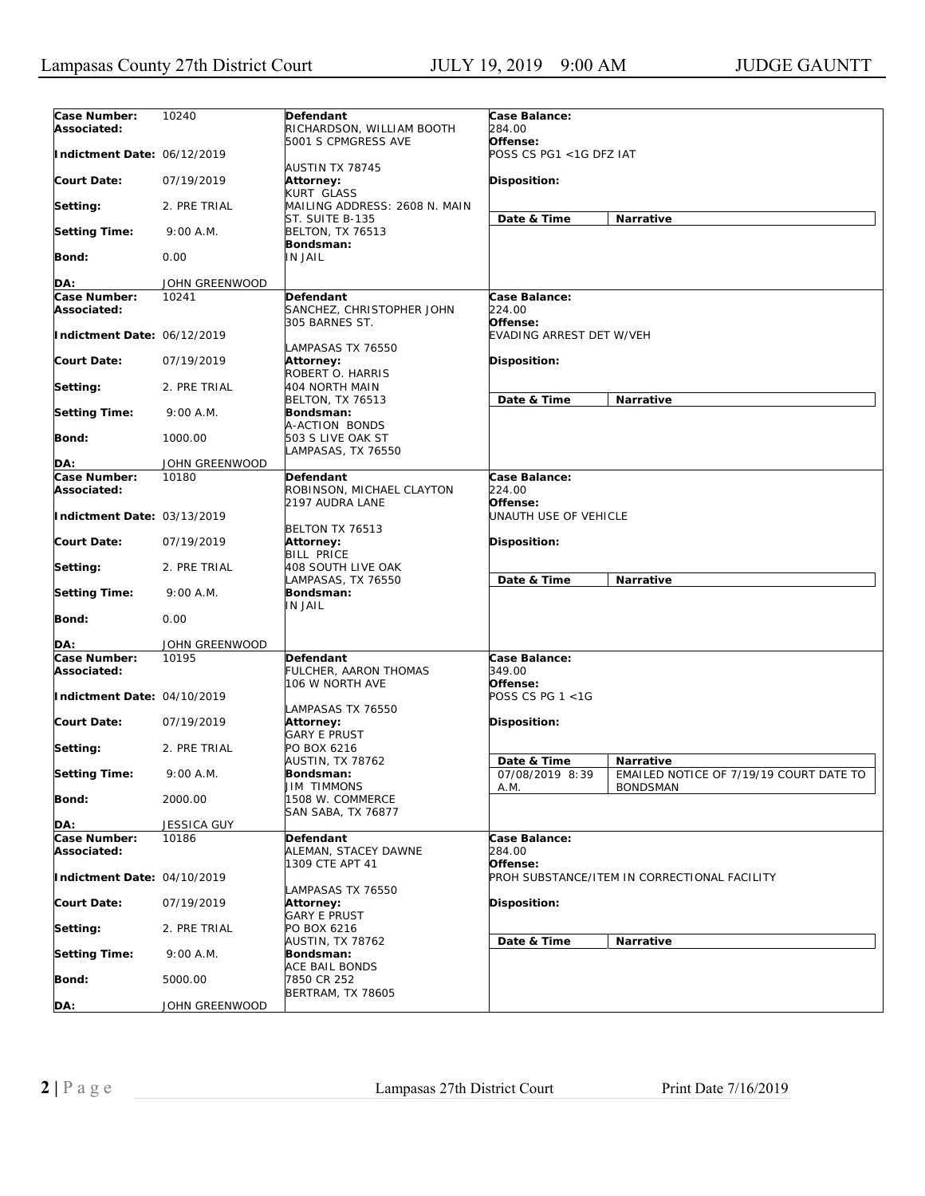| Case Number:<br>Associated:        | 10240          | Defendant<br>RICHARDSON, WILLIAM BOOTH                  | Case Balance:<br>284.00             |                                                            |
|------------------------------------|----------------|---------------------------------------------------------|-------------------------------------|------------------------------------------------------------|
| Indictment Date: 06/12/2019        |                | 5001 S CPMGRESS AVE                                     | Offense:<br>POSS CS PG1 <1G DFZ IAT |                                                            |
| <b>Court Date:</b>                 | 07/19/2019     | AUSTIN TX 78745<br>Attorney:<br>KURT GLASS              | <b>Disposition:</b>                 |                                                            |
| Setting:                           | 2. PRE TRIAL   | MAILING ADDRESS: 2608 N. MAIN                           |                                     |                                                            |
| <b>Setting Time:</b>               | 9:00 A.M.      | ST. SUITE B-135<br><b>BELTON, TX 76513</b><br>Bondsman: | Date & Time                         | Narrative                                                  |
| <b>Bond:</b>                       | 0.00           | IN JAIL                                                 |                                     |                                                            |
| DA:                                | JOHN GREENWOOD |                                                         |                                     |                                                            |
| <b>Case Number:</b>                | 10241          | Defendant                                               | Case Balance:                       |                                                            |
| Associated:                        |                | SANCHEZ, CHRISTOPHER JOHN<br>305 BARNES ST.             | 224.00<br>Offense:                  |                                                            |
| Indictment Date: 06/12/2019        |                | LAMPASAS TX 76550                                       | EVADING ARREST DET W/VEH            |                                                            |
| <b>Court Date:</b>                 | 07/19/2019     | Attorney:<br>ROBERT O. HARRIS                           | <b>Disposition:</b>                 |                                                            |
| Setting:                           | 2. PRE TRIAL   | 404 NORTH MAIN<br><b>BELTON, TX 76513</b>               | Date & Time                         | Narrative                                                  |
| <b>Setting Time:</b>               | 9:00 A.M.      | Bondsman:<br>A-ACTION BONDS                             |                                     |                                                            |
| Bond:                              | 1000.00        | 503 S LIVE OAK ST<br>LAMPASAS, TX 76550                 |                                     |                                                            |
| DA:                                | JOHN GREENWOOD |                                                         |                                     |                                                            |
| Case Number:<br>Associated:        | 10180          | Defendant<br>ROBINSON, MICHAEL CLAYTON                  | Case Balance:<br>224.00             |                                                            |
| Indictment Date: 03/13/2019        |                | 2197 AUDRA LANE<br>BELTON TX 76513                      | Offense:<br>UNAUTH USE OF VEHICLE   |                                                            |
| <b>Court Date:</b>                 | 07/19/2019     | Attorney:<br>BILL PRICE                                 | Disposition:                        |                                                            |
| Setting:                           | 2. PRE TRIAL   | 408 SOUTH LIVE OAK<br>LAMPASAS, TX 76550                | Date & Time                         | <b>Narrative</b>                                           |
| <b>Setting Time:</b>               | 9:00 A.M.      | Bondsman:<br>IN JAIL                                    |                                     |                                                            |
| <b>Bond:</b>                       | 0.00           |                                                         |                                     |                                                            |
| DA:                                | JOHN GREENWOOD |                                                         |                                     |                                                            |
| <b>Case Number:</b><br>Associated: | 10195          | Defendant<br>FULCHER, AARON THOMAS<br>106 W NORTH AVE   | Case Balance:<br>349.00<br>Offense: |                                                            |
| Indictment Date: 04/10/2019        |                | LAMPASAS TX 76550                                       | POSS CS PG 1 <1G                    |                                                            |
| <b>Court Date:</b>                 | 07/19/2019     | Attorney:<br>GARY E PRUST                               | <b>Disposition:</b>                 |                                                            |
| Setting:                           | 2. PRE TRIAL   | PO BOX 6216<br><b>AUSTIN, TX 78762</b>                  | Date & Time                         | Narrative                                                  |
| <b>Setting Time:</b>               | 9:00 A.M.      | Bondsman:<br><b>JIM TIMMONS</b>                         | 07/08/2019 8:39<br>A.M.             | EMAILED NOTICE OF 7/19/19 COURT DATE TO<br><b>BONDSMAN</b> |
| Bond:                              | 2000.00        | 1508 W. COMMERCE<br><b>SAN SABA, TX 76877</b>           |                                     |                                                            |
| DA:                                | JESSICA GUY    |                                                         |                                     |                                                            |
| Case Number:                       | 10186          | Defendant                                               | Case Balance:                       |                                                            |
| Associated:                        |                | ALEMAN, STACEY DAWNE<br>1309 CTE APT 41                 | 284.00<br>Offense:                  |                                                            |
| Indictment Date: 04/10/2019        |                |                                                         |                                     | PROH SUBSTANCE/ITEM IN CORRECTIONAL FACILITY               |
| <b>Court Date:</b>                 | 07/19/2019     | LAMPASAS TX 76550<br>Attorney:<br><b>GARY E PRUST</b>   | Disposition:                        |                                                            |
| Setting:                           | 2. PRE TRIAL   | PO BOX 6216<br>AUSTIN, TX 78762                         |                                     |                                                            |
| <b>Setting Time:</b>               | 9:00 A.M.      | Bondsman:                                               | Date & Time                         | Narrative                                                  |
| Bond:                              | 5000.00        | ACE BAIL BONDS<br>7850 CR 252                           |                                     |                                                            |
| DA:                                | JOHN GREENWOOD | <b>BERTRAM, TX 78605</b>                                |                                     |                                                            |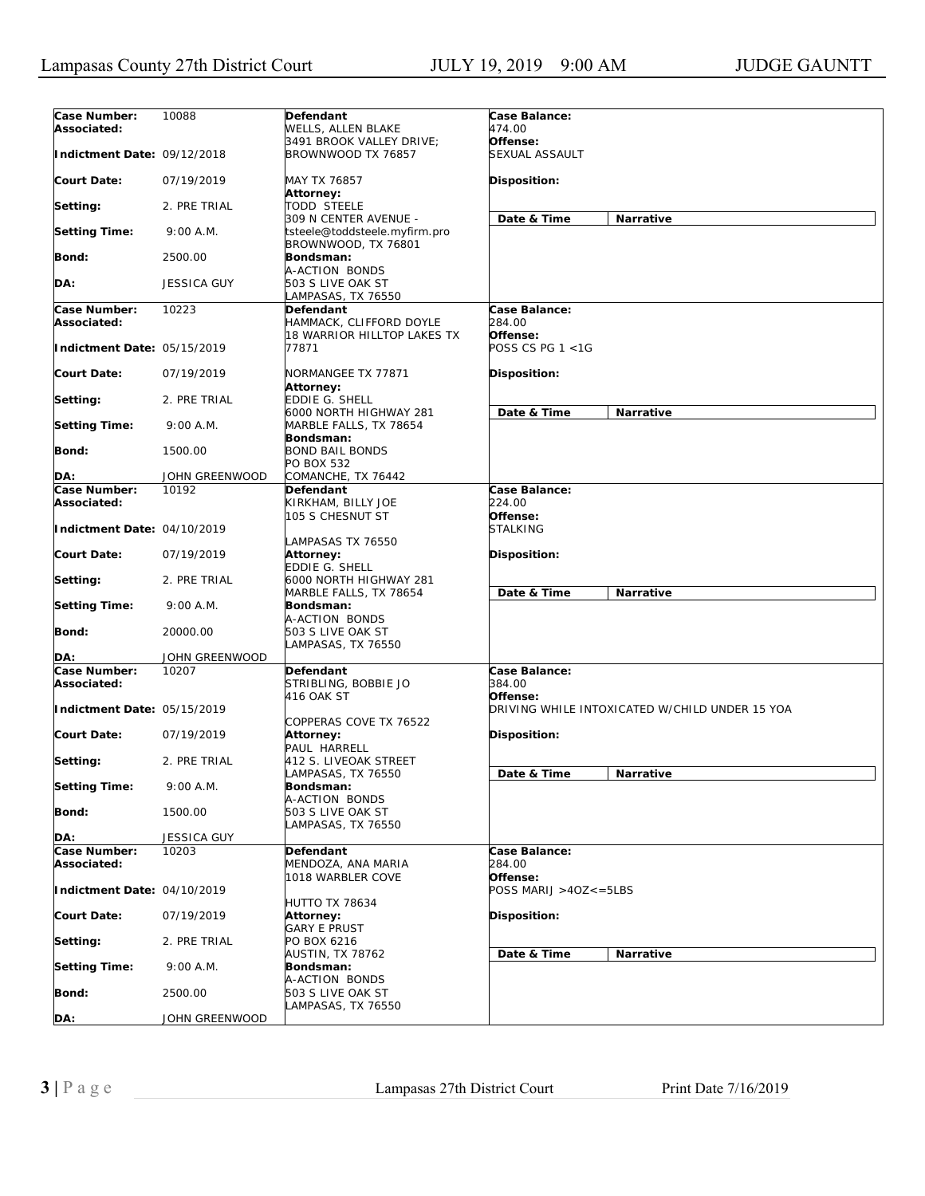| Case Number:<br>Associated: | 10088              | <b>Defendant</b><br>WELLS, ALLEN BLAKE                    | Case Balance:<br>474.00                        |
|-----------------------------|--------------------|-----------------------------------------------------------|------------------------------------------------|
| Indictment Date: 09/12/2018 |                    | 3491 BROOK VALLEY DRIVE;<br>BROWNWOOD TX 76857            | Offense:<br>SEXUAL ASSAULT                     |
| <b>Court Date:</b>          | 07/19/2019         | MAY TX 76857                                              | Disposition:                                   |
| Setting:                    | 2. PRE TRIAL       | Attorney:<br>TODD STEELE                                  |                                                |
| <b>Setting Time:</b>        | 9:00 A.M.          | 309 N CENTER AVENUE -<br>tsteele@toddsteele.myfirm.pro    | Date & Time<br>Narrative                       |
| <b>Bond:</b>                | 2500.00            | BROWNWOOD, TX 76801<br>Bondsman:                          |                                                |
| DA:                         | <b>JESSICA GUY</b> | A-ACTION BONDS<br>503 S LIVE OAK ST<br>LAMPASAS, TX 76550 |                                                |
| Case Number:<br>Associated: | 10223              | Defendant<br>HAMMACK, CLIFFORD DOYLE                      | Case Balance:<br>284.00                        |
| Indictment Date: 05/15/2019 |                    | 18 WARRIOR HILLTOP LAKES TX<br>77871                      | Offense:<br>POSS CS PG 1 <1G                   |
| <b>Court Date:</b>          | 07/19/2019         | NORMANGEE TX 77871<br>Attorney:                           | Disposition:                                   |
| Setting:                    | 2. PRE TRIAL       | EDDIE G. SHELL<br>6000 NORTH HIGHWAY 281                  | Date & Time<br>Narrative                       |
| <b>Setting Time:</b>        | 9:00 A.M.          | MARBLE FALLS, TX 78654<br>Bondsman:                       |                                                |
| <b>Bond:</b>                | 1500.00            | <b>BOND BAIL BONDS</b><br>PO BOX 532                      |                                                |
| DA:                         | JOHN GREENWOOD     | COMANCHE, TX 76442                                        |                                                |
| Case Number:<br>Associated: | 10192              | <b>Defendant</b><br>KIRKHAM, BILLY JOE                    | Case Balance:<br>224.00                        |
| Indictment Date: 04/10/2019 |                    | 105 S CHESNUT ST                                          | Offense:<br><i>STALKING</i>                    |
|                             |                    | LAMPASAS TX 76550                                         |                                                |
| <b>Court Date:</b>          | 07/19/2019         | Attorney:<br>EDDIE G. SHELL                               | Disposition:                                   |
| Setting:                    | 2. PRE TRIAL       | 6000 NORTH HIGHWAY 281<br>MARBLE FALLS, TX 78654          | Date & Time<br>Narrative                       |
| <b>Setting Time:</b>        | 9:00 A.M.          | Bondsman:<br>A-ACTION BONDS                               |                                                |
| <b>Bond:</b>                | 20000.00           | 503 S LIVE OAK ST<br>LAMPASAS, TX 76550                   |                                                |
| DA:                         | JOHN GREENWOOD     |                                                           |                                                |
| Case Number:                | 10207              | <b>Defendant</b>                                          | Case Balance:                                  |
| Associated:                 |                    | STRIBLING, BOBBIE JO<br>416 OAK ST                        | 384.00<br>Offense:                             |
| Indictment Date: 05/15/2019 |                    | COPPERAS COVE TX 76522                                    | DRIVING WHILE INTOXICATED W/CHILD UNDER 15 YOA |
| <b>Court Date:</b>          | 07/19/2019         | Attorney:<br>PAUL HARRELL                                 | Disposition:                                   |
| Setting:                    | 2. PRE TRIAL       | 412 S. LIVEOAK STREET<br>LAMPASAS, TX 76550               | Date & Time<br><b>Narrative</b>                |
| <b>Setting Time:</b>        | 9:00 A.M.          | Bondsman:<br>A-ACTION BONDS                               |                                                |
| <b>Bond:</b>                | 1500.00            | 503 S LIVE OAK ST<br>LAMPASAS, TX 76550                   |                                                |
| DA:                         | <b>JESSICA GUY</b> |                                                           |                                                |
| Case Number:                | 10203              | Defendant                                                 | Case Balance:                                  |
| Associated:                 |                    | MENDOZA, ANA MARIA<br>1018 WARBLER COVE                   | 284.00<br>Offense:                             |
| Indictment Date: 04/10/2019 |                    |                                                           | POSS MARIJ >40Z<=5LBS                          |
| <b>Court Date:</b>          | 07/19/2019         | HUTTO TX 78634<br>Attorney:                               | Disposition:                                   |
| Setting:                    | 2. PRE TRIAL       | GARY E PRUST<br>PO BOX 6216                               |                                                |
| <b>Setting Time:</b>        | 9:00 A.M.          | AUSTIN, TX 78762<br>Bondsman:                             | Date & Time<br>Narrative                       |
| Bond:                       | 2500.00            | A-ACTION BONDS<br>503 S LIVE OAK ST                       |                                                |
| DA:                         | JOHN GREENWOOD     | LAMPASAS, TX 76550                                        |                                                |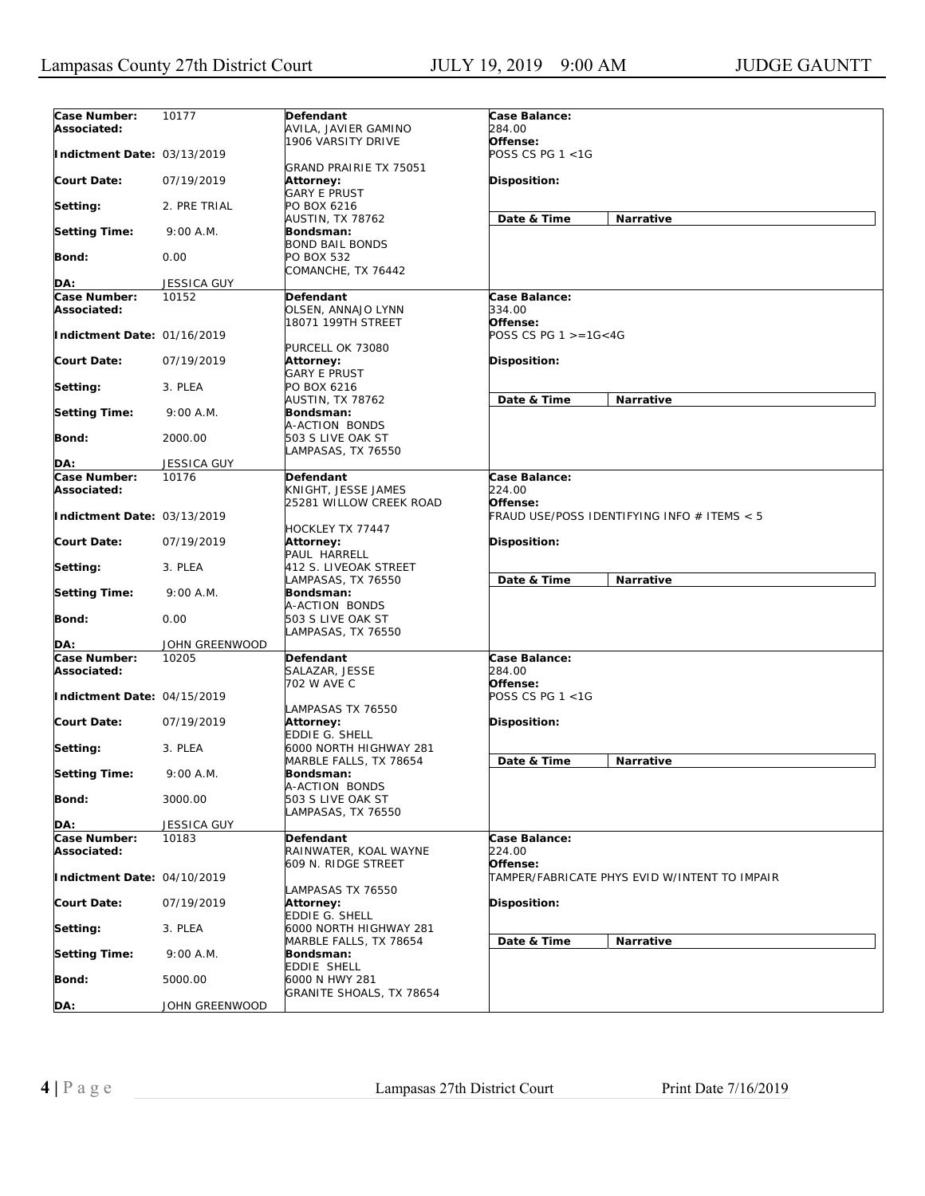| Case Number:                | 10177          | Defendant                | Case Balance:              |                                               |
|-----------------------------|----------------|--------------------------|----------------------------|-----------------------------------------------|
| Associated:                 |                | AVILA, JAVIER GAMINO     | 284.00                     |                                               |
|                             |                | 1906 VARSITY DRIVE       | Offense:                   |                                               |
|                             |                |                          | POSS CS PG 1 <1G           |                                               |
| Indictment Date: 03/13/2019 |                |                          |                            |                                               |
|                             |                | GRAND PRAIRIE TX 75051   |                            |                                               |
| <b>Court Date:</b>          | 07/19/2019     | Attorney:                | <b>Disposition:</b>        |                                               |
|                             |                | GARY E PRUST             |                            |                                               |
| Setting:                    | 2. PRE TRIAL   | PO BOX 6216              |                            |                                               |
|                             |                | AUSTIN, TX 78762         | Date & Time                | Narrative                                     |
| <b>Setting Time:</b>        | 9:00 A.M.      | Bondsman:                |                            |                                               |
|                             |                | <b>BOND BAIL BONDS</b>   |                            |                                               |
| <b>Bond:</b>                | 0.00           | PO BOX 532               |                            |                                               |
|                             |                | COMANCHE, TX 76442       |                            |                                               |
| DA:                         | JESSICA GUY    |                          |                            |                                               |
| Case Number:                | 10152          | Defendant                | Case Balance:              |                                               |
| Associated:                 |                | OLSEN, ANNAJO LYNN       | 334.00                     |                                               |
|                             |                | 18071 199TH STREET       | Offense:                   |                                               |
|                             |                |                          |                            |                                               |
| Indictment Date: 01/16/2019 |                |                          | POSS CS PG $1 > = 16 < 4G$ |                                               |
|                             |                | PURCELL OK 73080         |                            |                                               |
| <b>Court Date:</b>          | 07/19/2019     | Attorney:                | <b>Disposition:</b>        |                                               |
|                             |                | <b>GARY E PRUST</b>      |                            |                                               |
| Setting:                    | 3. PLEA        | PO BOX 6216              |                            |                                               |
|                             |                | AUSTIN, TX 78762         | Date & Time                | Narrative                                     |
| <b>Setting Time:</b>        | 9:00 A.M.      | Bondsman:                |                            |                                               |
|                             |                | A-ACTION BONDS           |                            |                                               |
| <b>Bond:</b>                | 2000.00        | 503 S LIVE OAK ST        |                            |                                               |
|                             |                | LAMPASAS, TX 76550       |                            |                                               |
| DA:                         | JESSICA GUY    |                          |                            |                                               |
| Case Number:                | 10176          | Defendant                | Case Balance:              |                                               |
| Associated:                 |                | KNIGHT, JESSE JAMES      | 224.00                     |                                               |
|                             |                |                          | Offense:                   |                                               |
|                             |                | 25281 WILLOW CREEK ROAD  |                            |                                               |
| Indictment Date: 03/13/2019 |                |                          |                            | FRAUD USE/POSS IDENTIFYING INFO # ITEMS < 5   |
|                             |                | HOCKLEY TX 77447         |                            |                                               |
| <b>Court Date:</b>          | 07/19/2019     | <b>Attorney:</b>         | <b>Disposition:</b>        |                                               |
|                             |                | PAUL HARRELL             |                            |                                               |
| Setting:                    | 3. PLEA        | 412 S. LIVEOAK STREET    |                            |                                               |
|                             |                | LAMPASAS, TX 76550       | Date & Time                | Narrative                                     |
| <b>Setting Time:</b>        | 9:00 A.M.      | Bondsman:                |                            |                                               |
|                             |                | A-ACTION BONDS           |                            |                                               |
| Bond:                       | 0.00           | 503 S LIVE OAK ST        |                            |                                               |
|                             |                | LAMPASAS, TX 76550       |                            |                                               |
| DA:                         | JOHN GREENWOOD |                          |                            |                                               |
| Case Number:                | 10205          | Defendant                | Case Balance:              |                                               |
| Associated:                 |                | SALAZAR, JESSE           | 284.00                     |                                               |
|                             |                | 702 W AVE C              | Offense:                   |                                               |
|                             |                |                          |                            |                                               |
| Indictment Date: 04/15/2019 |                |                          | POSS CS PG 1 <1G           |                                               |
|                             |                | LAMPASAS TX 76550        |                            |                                               |
| <b>Court Date:</b>          | 07/19/2019     | Attorney:                | Disposition:               |                                               |
|                             |                | <b>EDDIE G. SHELL</b>    |                            |                                               |
| Setting:                    | 3. PLEA        | 6000 NORTH HIGHWAY 281   |                            |                                               |
|                             |                | MARBLE FALLS, TX 78654   | Date & Time                | Narrative                                     |
| <b>Setting Time:</b>        | 9:00 A.M.      | Bondsman:                |                            |                                               |
|                             |                | A-ACTION BONDS           |                            |                                               |
| Bond:                       | 3000.00        | 503 S LIVE OAK ST        |                            |                                               |
|                             |                | LAMPASAS, TX 76550       |                            |                                               |
| DA:                         | JESSICA GUY    |                          |                            |                                               |
| Case Number:                | 10183          | Defendant                | Case Balance:              |                                               |
| Associated:                 |                | RAINWATER, KOAL WAYNE    | 224.00                     |                                               |
|                             |                |                          | Offense:                   |                                               |
|                             |                | 609 N. RIDGE STREET      |                            |                                               |
| Indictment Date: 04/10/2019 |                |                          |                            | TAMPER/FABRICATE PHYS EVID W/INTENT TO IMPAIR |
|                             |                | LAMPASAS TX 76550        |                            |                                               |
| <b>Court Date:</b>          | 07/19/2019     | <b>Attorney:</b>         | Disposition:               |                                               |
|                             |                | EDDIE G. SHELL           |                            |                                               |
| Setting:                    | 3. PLEA        | 6000 NORTH HIGHWAY 281   |                            |                                               |
|                             |                | MARBLE FALLS, TX 78654   | Date & Time                | Narrative                                     |
| <b>Setting Time:</b>        | 9:00 A.M.      | Bondsman:                |                            |                                               |
|                             |                | EDDIE SHELL              |                            |                                               |
| <b>Bond:</b>                | 5000.00        | 6000 N HWY 281           |                            |                                               |
|                             |                | GRANITE SHOALS, TX 78654 |                            |                                               |
| DA:                         | JOHN GREENWOOD |                          |                            |                                               |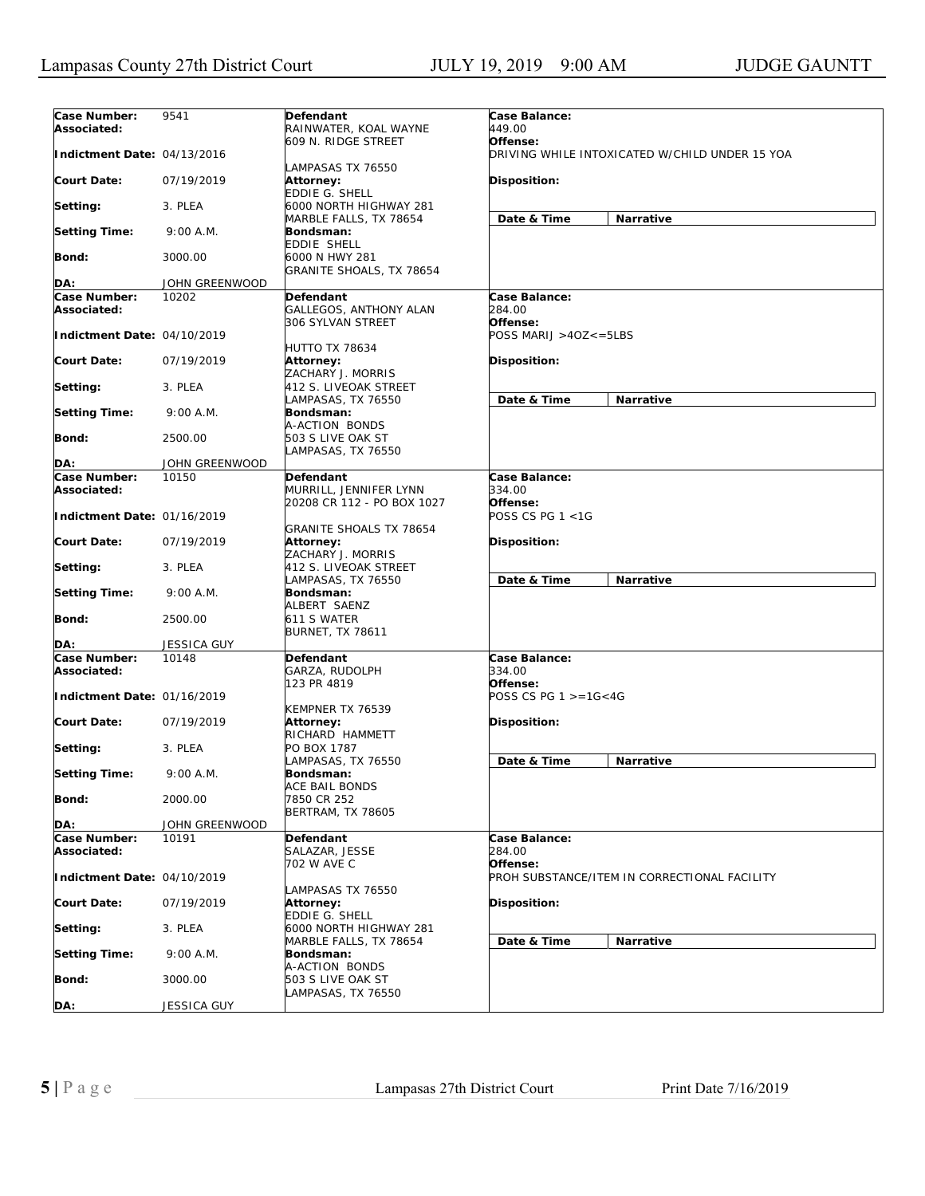| Case Number:<br>Associated: | 9541               | Defendant<br>RAINWATER, KOAL WAYNE                                | Case Balance:<br>449.00             |                                                |
|-----------------------------|--------------------|-------------------------------------------------------------------|-------------------------------------|------------------------------------------------|
|                             |                    | 609 N. RIDGE STREET                                               | Offense:                            |                                                |
| Indictment Date: 04/13/2016 |                    | LAMPASAS TX 76550                                                 |                                     | DRIVING WHILE INTOXICATED W/CHILD UNDER 15 YOA |
| <b>Court Date:</b>          | 07/19/2019         | Attorney:<br>EDDIE G. SHELL                                       | <b>Disposition:</b>                 |                                                |
| Setting:                    | 3. PLEA            | 6000 NORTH HIGHWAY 281<br>MARBLE FALLS, TX 78654                  | Date & Time                         | Narrative                                      |
| <b>Setting Time:</b>        | 9:00 A.M.          | Bondsman:<br>EDDIE SHELL                                          |                                     |                                                |
| Bond:                       | 3000.00            | 6000 N HWY 281<br>GRANITE SHOALS, TX 78654                        |                                     |                                                |
| DA:                         | JOHN GREENWOOD     |                                                                   |                                     |                                                |
| Case Number:                | 10202              | Defendant                                                         | Case Balance:                       |                                                |
| Associated:                 |                    | GALLEGOS, ANTHONY ALAN<br>306 SYLVAN STREET                       | 284.00<br>Offense:                  |                                                |
| Indictment Date: 04/10/2019 |                    | <b>HUTTO TX 78634</b>                                             | POSS MARIJ >4OZ<=5LBS               |                                                |
| <b>Court Date:</b>          | 07/19/2019         | Attorney:<br>ZACHARY J. MORRIS                                    | <b>Disposition:</b>                 |                                                |
| Setting:                    | 3. PLEA            | 412 S. LIVEOAK STREET<br>LAMPASAS, TX 76550                       | Date & Time                         | Narrative                                      |
| <b>Setting Time:</b>        | 9:00 A.M.          | Bondsman:<br>A-ACTION BONDS                                       |                                     |                                                |
| Bond:                       | 2500.00            | 503 S LIVE OAK ST<br>LAMPASAS, TX 76550                           |                                     |                                                |
| DA:                         | JOHN GREENWOOD     |                                                                   |                                     |                                                |
| Case Number:<br>Associated: | 10150              | Defendant<br>MURRILL, JENNIFER LYNN<br>20208 CR 112 - PO BOX 1027 | Case Balance:<br>334.00<br>Offense: |                                                |
| Indictment Date: 01/16/2019 |                    | <b>GRANITE SHOALS TX 78654</b>                                    | POSS CS PG 1 <1G                    |                                                |
| <b>Court Date:</b>          | 07/19/2019         | Attorney:<br>ZACHARY J. MORRIS                                    | <b>Disposition:</b>                 |                                                |
| Setting:                    | 3. PLEA            | 412 S. LIVEOAK STREET<br>LAMPASAS, TX 76550                       | Date & Time                         | Narrative                                      |
| <b>Setting Time:</b>        | 9:00 A.M.          | Bondsman:<br>ALBERT SAENZ                                         |                                     |                                                |
| <b>Bond:</b>                | 2500.00            | 611 S WATER<br><b>BURNET, TX 78611</b>                            |                                     |                                                |
| DA:                         | <b>JESSICA GUY</b> |                                                                   |                                     |                                                |
| Case Number:<br>Associated: | 10148              | Defendant<br>GARZA, RUDOLPH<br>123 PR 4819                        | Case Balance:<br>334.00<br>Offense: |                                                |
| Indictment Date: 01/16/2019 |                    | KEMPNER TX 76539                                                  | POSS CS PG $1 > = 1G < 4G$          |                                                |
| Court Date:                 | 07/19/2019         | Attorney:<br>RICHARD HAMMETT                                      | Disposition:                        |                                                |
| Setting:                    | 3. PLEA            | PO BOX 1787<br>LAMPASAS, TX 76550                                 | Date & Time                         | Narrative                                      |
| <b>Setting Time:</b>        | 9:00 A.M.          | Bondsman:<br>ACE BAIL BONDS                                       |                                     |                                                |
| Bond:                       | 2000.00            | 7850 CR 252<br><b>BERTRAM, TX 78605</b>                           |                                     |                                                |
| DA:                         | JOHN GREENWOOD     |                                                                   |                                     |                                                |
| Case Number:<br>Associated: | 10191              | Defendant<br>SALAZAR, JESSE                                       | Case Balance:<br>284.00             |                                                |
| Indictment Date: 04/10/2019 |                    | 702 W AVE C                                                       | Offense:                            | PROH SUBSTANCE/ITEM IN CORRECTIONAL FACILITY   |
| <b>Court Date:</b>          | 07/19/2019         | LAMPASAS TX 76550<br>Attorney:<br>EDDIE G. SHELL                  | Disposition:                        |                                                |
| Setting:                    | 3. PLEA            | 6000 NORTH HIGHWAY 281                                            |                                     |                                                |
| <b>Setting Time:</b>        | 9:00 A.M.          | MARBLE FALLS, TX 78654<br>Bondsman:                               | Date & Time                         | Narrative                                      |
| <b>Bond:</b>                | 3000.00            | A-ACTION BONDS<br>503 S LIVE OAK ST                               |                                     |                                                |
| DA:                         | JESSICA GUY        | LAMPASAS, TX 76550                                                |                                     |                                                |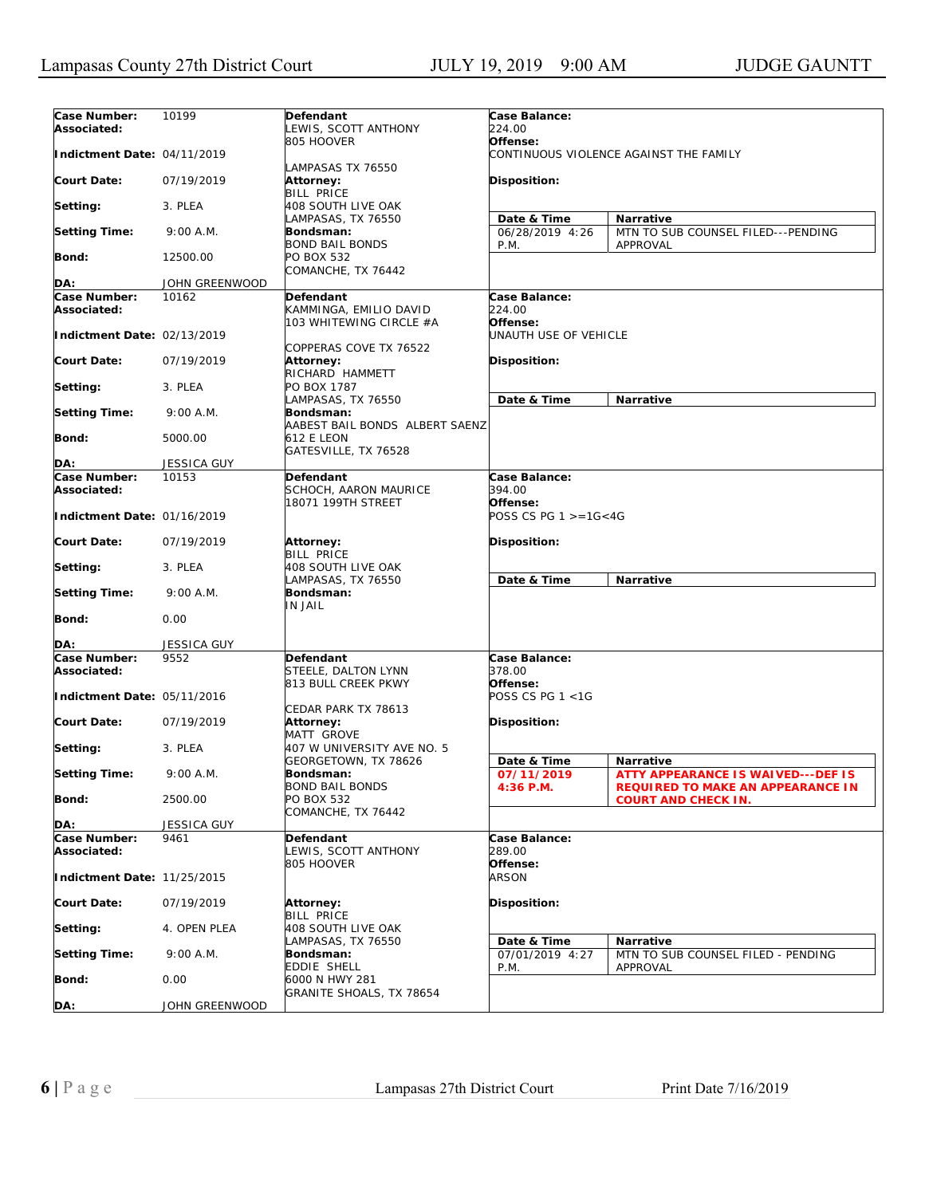| Case Number:<br>Associated: | 10199              | Defendant<br>LEWIS, SCOTT ANTHONY                                    | Case Balance:<br>224.00                            |                                                                                       |
|-----------------------------|--------------------|----------------------------------------------------------------------|----------------------------------------------------|---------------------------------------------------------------------------------------|
| Indictment Date: 04/11/2019 |                    | 805 HOOVER                                                           | Offense:<br>CONTINUOUS VIOLENCE AGAINST THE FAMILY |                                                                                       |
| <b>Court Date:</b>          | 07/19/2019         | LAMPASAS TX 76550<br>Attorney:                                       | <b>Disposition:</b>                                |                                                                                       |
| Setting:                    | 3. PLEA            | <b>BILL PRICE</b><br>408 SOUTH LIVE OAK                              |                                                    |                                                                                       |
|                             |                    | LAMPASAS, TX 76550                                                   | Date & Time                                        | Narrative                                                                             |
| <b>Setting Time:</b>        | 9:00 A.M.          | Bondsman:<br>BOND BAIL BONDS                                         | 06/28/2019 4:26<br>P.M.                            | MTN TO SUB COUNSEL FILED---PENDING<br>APPROVAL                                        |
| Bond:                       | 12500.00           | PO BOX 532<br>COMANCHE, TX 76442                                     |                                                    |                                                                                       |
| DA:                         | JOHN GREENWOOD     |                                                                      |                                                    |                                                                                       |
| Case Number:<br>Associated: | 10162              | Defendant<br>KAMMINGA, EMILIO DAVID<br>103 WHITEWING CIRCLE #A       | Case Balance:<br>224.00<br>Offense:                |                                                                                       |
| Indictment Date: 02/13/2019 |                    |                                                                      | UNAUTH USE OF VEHICLE                              |                                                                                       |
| Court Date:                 | 07/19/2019         | COPPERAS COVE TX 76522<br>Attorney:                                  | <b>Disposition:</b>                                |                                                                                       |
| Setting:                    | 3. PLEA            | RICHARD HAMMETT<br>PO BOX 1787                                       |                                                    |                                                                                       |
| <b>Setting Time:</b>        | 9:00 A.M.          | LAMPASAS, TX 76550<br>Bondsman:                                      | Date & Time                                        | Narrative                                                                             |
| Bond:                       | 5000.00            | AABEST BAIL BONDS ALBERT SAENZ<br>612 E LEON<br>GATESVILLE, TX 76528 |                                                    |                                                                                       |
| DA:                         | <b>JESSICA GUY</b> |                                                                      |                                                    |                                                                                       |
| Case Number:                | 10153              | Defendant                                                            | Case Balance:                                      |                                                                                       |
| Associated:                 |                    | SCHOCH, AARON MAURICE                                                | 394.00                                             |                                                                                       |
| Indictment Date: 01/16/2019 |                    | 18071 199TH STREET                                                   | Offense:<br>POSS CS PG $1 > = 16 < 4G$             |                                                                                       |
| Court Date:                 | 07/19/2019         | Attorney:<br><b>BILL PRICE</b>                                       | Disposition:                                       |                                                                                       |
| Setting:                    | 3. PLEA            | 408 SOUTH LIVE OAK<br>LAMPASAS, TX 76550                             | Date & Time                                        | Narrative                                                                             |
| Setting Time:               | 9:00 A.M.          | Bondsman:<br>IN JAIL                                                 |                                                    |                                                                                       |
| Bond:                       | 0.00               |                                                                      |                                                    |                                                                                       |
| DA:                         | <b>JESSICA GUY</b> |                                                                      |                                                    |                                                                                       |
| Case Number:<br>Associated: | 9552               | Defendant<br>STEELE, DALTON LYNN<br>813 BULL CREEK PKWY              | Case Balance:<br>378.00<br>Offense:                |                                                                                       |
| Indictment Date: 05/11/2016 |                    |                                                                      | POSS CS PG 1 <1G                                   |                                                                                       |
| Court Date:                 | 07/19/2019         | CEDAR PARK TX 78613<br>Attorney:<br>MATT GROVE                       | Disposition:                                       |                                                                                       |
| Setting:                    | 3. PLEA            | 407 W UNIVERSITY AVE NO. 5<br>GEORGETOWN, TX 78626                   | Date & Time                                        | <b>Narrative</b>                                                                      |
| <b>Setting Time:</b>        | 9:00 A.M.          | Bondsman:<br><b>BOND BAIL BONDS</b>                                  | 07/11/2019<br>4:36 P.M.                            | <b>ATTY APPEARANCE IS WAIVED---DEF IS</b><br><b>REQUIRED TO MAKE AN APPEARANCE IN</b> |
| Bond:                       | 2500.00            | PO BOX 532<br>COMANCHE, TX 76442                                     |                                                    | <b>COURT AND CHECK IN.</b>                                                            |
| DA:                         | JESSICA GUY        |                                                                      |                                                    |                                                                                       |
| Case Number:<br>Associated: | 9461               | Defendant<br>LEWIS, SCOTT ANTHONY                                    | Case Balance:<br>289.00                            |                                                                                       |
| Indictment Date: 11/25/2015 |                    | 805 HOOVER                                                           | Offense:<br><i>ARSON</i>                           |                                                                                       |
| <b>Court Date:</b>          | 07/19/2019         | Attorney:<br>BILL PRICE                                              | Disposition:                                       |                                                                                       |
| Setting:                    | 4. OPEN PLEA       | 408 SOUTH LIVE OAK<br>LAMPASAS, TX 76550                             |                                                    |                                                                                       |
| <b>Setting Time:</b>        | 9:00 A.M.          | Bondsman:                                                            | Date & Time<br>07/01/2019 4:27                     | Narrative<br>MTN TO SUB COUNSEL FILED - PENDING                                       |
| <b>Bond:</b>                | 0.00               | EDDIE SHELL<br>6000 N HWY 281                                        | P.M.                                               | APPROVAL                                                                              |
| DA:                         | JOHN GREENWOOD     | GRANITE SHOALS, TX 78654                                             |                                                    |                                                                                       |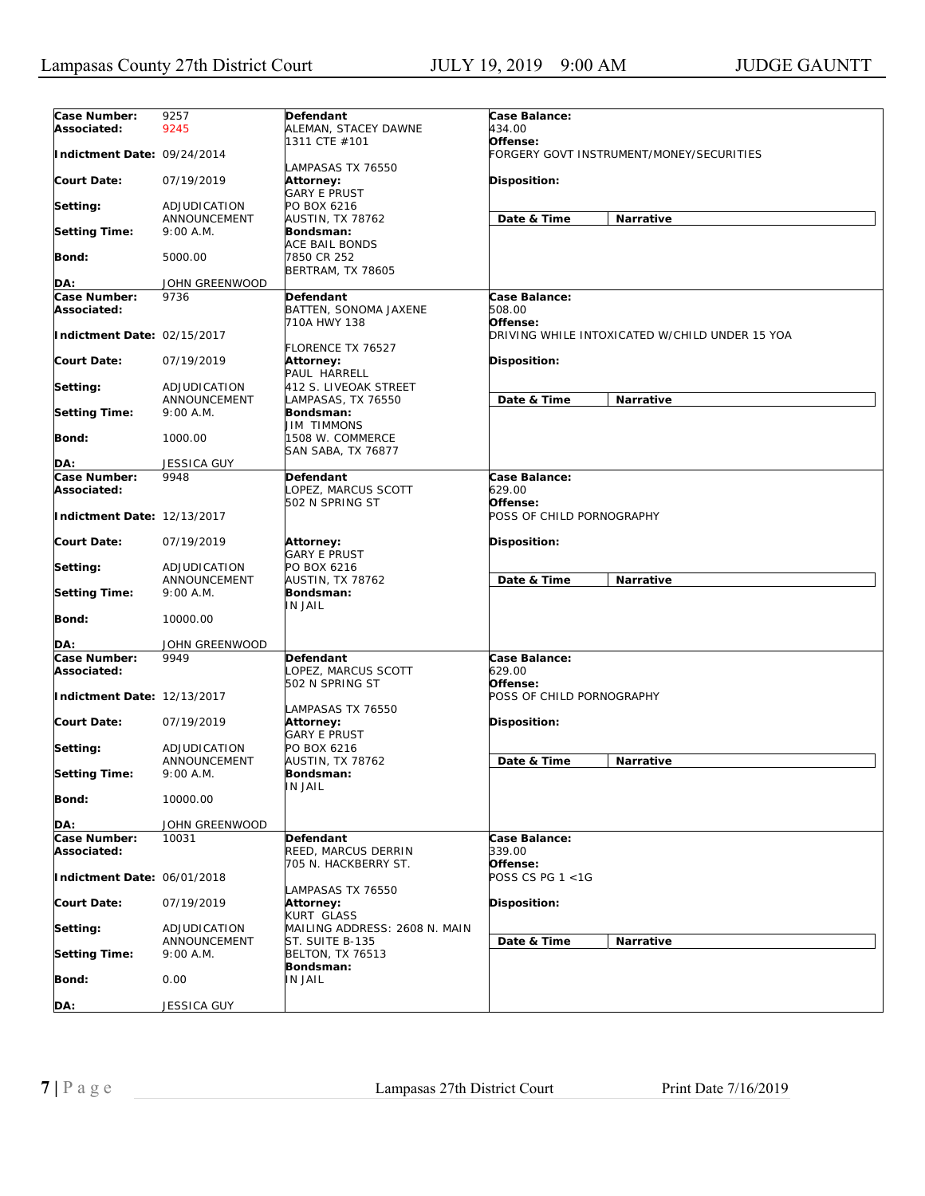| Case Number:                | 9257               | Defendant                     | Case Balance:             |                                                |
|-----------------------------|--------------------|-------------------------------|---------------------------|------------------------------------------------|
| Associated:                 | 9245               | ALEMAN, STACEY DAWNE          | 434.00                    |                                                |
|                             |                    | 1311 CTE #101                 | Offense:                  |                                                |
| Indictment Date: 09/24/2014 |                    |                               |                           | FORGERY GOVT INSTRUMENT/MONEY/SECURITIES       |
|                             |                    |                               |                           |                                                |
|                             |                    | LAMPASAS TX 76550             |                           |                                                |
| <b>Court Date:</b>          | 07/19/2019         | Attorney:                     | Disposition:              |                                                |
|                             |                    | <b>GARY E PRUST</b>           |                           |                                                |
| Setting:                    | ADJUDICATION       | PO BOX 6216                   |                           |                                                |
|                             | ANNOUNCEMENT       | AUSTIN, TX 78762              | Date & Time               | Narrative                                      |
| <b>Setting Time:</b>        | 9:00 A.M.          | Bondsman:                     |                           |                                                |
|                             |                    | ACE BAIL BONDS                |                           |                                                |
|                             |                    |                               |                           |                                                |
| <b>Bond:</b>                | 5000.00            | 7850 CR 252                   |                           |                                                |
|                             |                    | BERTRAM, TX 78605             |                           |                                                |
| DA:                         | JOHN GREENWOOD     |                               |                           |                                                |
| Case Number:                | 9736               | Defendant                     | Case Balance:             |                                                |
| Associated:                 |                    | BATTEN, SONOMA JAXENE         | 508.00                    |                                                |
|                             |                    | 710A HWY 138                  | Offense:                  |                                                |
| Indictment Date: 02/15/2017 |                    |                               |                           | DRIVING WHILE INTOXICATED W/CHILD UNDER 15 YOA |
|                             |                    |                               |                           |                                                |
|                             |                    | <b>FLORENCE TX 76527</b>      |                           |                                                |
| <b>Court Date:</b>          | 07/19/2019         | <b>Attorney:</b>              | Disposition:              |                                                |
|                             |                    | PAUL HARRELL                  |                           |                                                |
| Setting:                    | ADJUDICATION       | 412 S. LIVEOAK STREET         |                           |                                                |
|                             | ANNOUNCEMENT       | LAMPASAS, TX 76550            | Date & Time               | Narrative                                      |
| <b>Setting Time:</b>        | 9:00 A.M.          | Bondsman:                     |                           |                                                |
|                             |                    | JIM TIMMONS                   |                           |                                                |
| <b>Bond:</b>                | 1000.00            | 1508 W. COMMERCE              |                           |                                                |
|                             |                    |                               |                           |                                                |
|                             |                    | SAN SABA, TX 76877            |                           |                                                |
| DA:                         | <b>JESSICA GUY</b> |                               |                           |                                                |
| <b>Case Number:</b>         | 9948               | Defendant                     | Case Balance:             |                                                |
| Associated:                 |                    | LOPEZ, MARCUS SCOTT           | 629.00                    |                                                |
|                             |                    | 502 N SPRING ST               | Offense:                  |                                                |
| Indictment Date: 12/13/2017 |                    |                               | POSS OF CHILD PORNOGRAPHY |                                                |
|                             |                    |                               |                           |                                                |
| <b>Court Date:</b>          | 07/19/2019         | <b>Attorney:</b>              | <b>Disposition:</b>       |                                                |
|                             |                    | <b>GARY E PRUST</b>           |                           |                                                |
|                             |                    |                               |                           |                                                |
| Setting:                    | ADJUDICATION       | PO BOX 6216                   |                           |                                                |
|                             | ANNOUNCEMENT       | AUSTIN, TX 78762              | Date & Time               | Narrative                                      |
| <b>Setting Time:</b>        | 9:00 A.M.          | Bondsman:                     |                           |                                                |
|                             |                    | <b>IN JAIL</b>                |                           |                                                |
| <b>Bond:</b>                | 10000.00           |                               |                           |                                                |
|                             |                    |                               |                           |                                                |
| DA:                         | JOHN GREENWOOD     |                               |                           |                                                |
| Case Number:                | 9949               | Defendant                     | Case Balance:             |                                                |
|                             |                    |                               |                           |                                                |
| Associated:                 |                    | LOPEZ, MARCUS SCOTT           | 629.00                    |                                                |
|                             |                    | 502 N SPRING ST               | Offense:                  |                                                |
| Indictment Date: 12/13/2017 |                    |                               | POSS OF CHILD PORNOGRAPHY |                                                |
|                             |                    | LAMPASAS TX 76550             |                           |                                                |
| <b>Court Date:</b>          | 07/19/2019         | Attorney:                     | <b>Disposition:</b>       |                                                |
|                             |                    | <b>GARY E PRUST</b>           |                           |                                                |
| Setting:                    | ADJUDICATION       | PO BOX 6216                   |                           |                                                |
|                             | ANNOUNCEMENT       | AUSTIN, TX 78762              | Date & Time               | Narrative                                      |
|                             |                    |                               |                           |                                                |
| <b>Setting Time:</b>        | $9:00$ A.M.        | Bondsman:                     |                           |                                                |
|                             |                    | IN JAIL                       |                           |                                                |
| <b>Bond:</b>                | 10000.00           |                               |                           |                                                |
|                             |                    |                               |                           |                                                |
| DA:                         | JOHN GREENWOOD     |                               |                           |                                                |
| Case Number:                | 10031              | Defendant                     | Case Balance:             |                                                |
| Associated:                 |                    | REED, MARCUS DERRIN           | <i>339.00</i>             |                                                |
|                             |                    | 705 N. HACKBERRY ST.          | Offense:                  |                                                |
|                             |                    |                               | POSS CS PG 1 <1G          |                                                |
| Indictment Date: 06/01/2018 |                    |                               |                           |                                                |
|                             |                    | LAMPASAS TX 76550             |                           |                                                |
| <b>Court Date:</b>          | 07/19/2019         | Attorney:                     | Disposition:              |                                                |
|                             |                    | <b>KURT GLASS</b>             |                           |                                                |
| Setting:                    | ADJUDICATION       | MAILING ADDRESS: 2608 N. MAIN |                           |                                                |
|                             | ANNOUNCEMENT       | ST. SUITE B-135               | Date & Time               | Narrative                                      |
| <b>Setting Time:</b>        | 9:00 A.M.          | <b>BELTON, TX 76513</b>       |                           |                                                |
|                             |                    | Bondsman:                     |                           |                                                |
| <b>Bond:</b>                | 0.00               | IN JAIL                       |                           |                                                |
|                             |                    |                               |                           |                                                |
|                             |                    |                               |                           |                                                |
| DA:                         | JESSICA GUY        |                               |                           |                                                |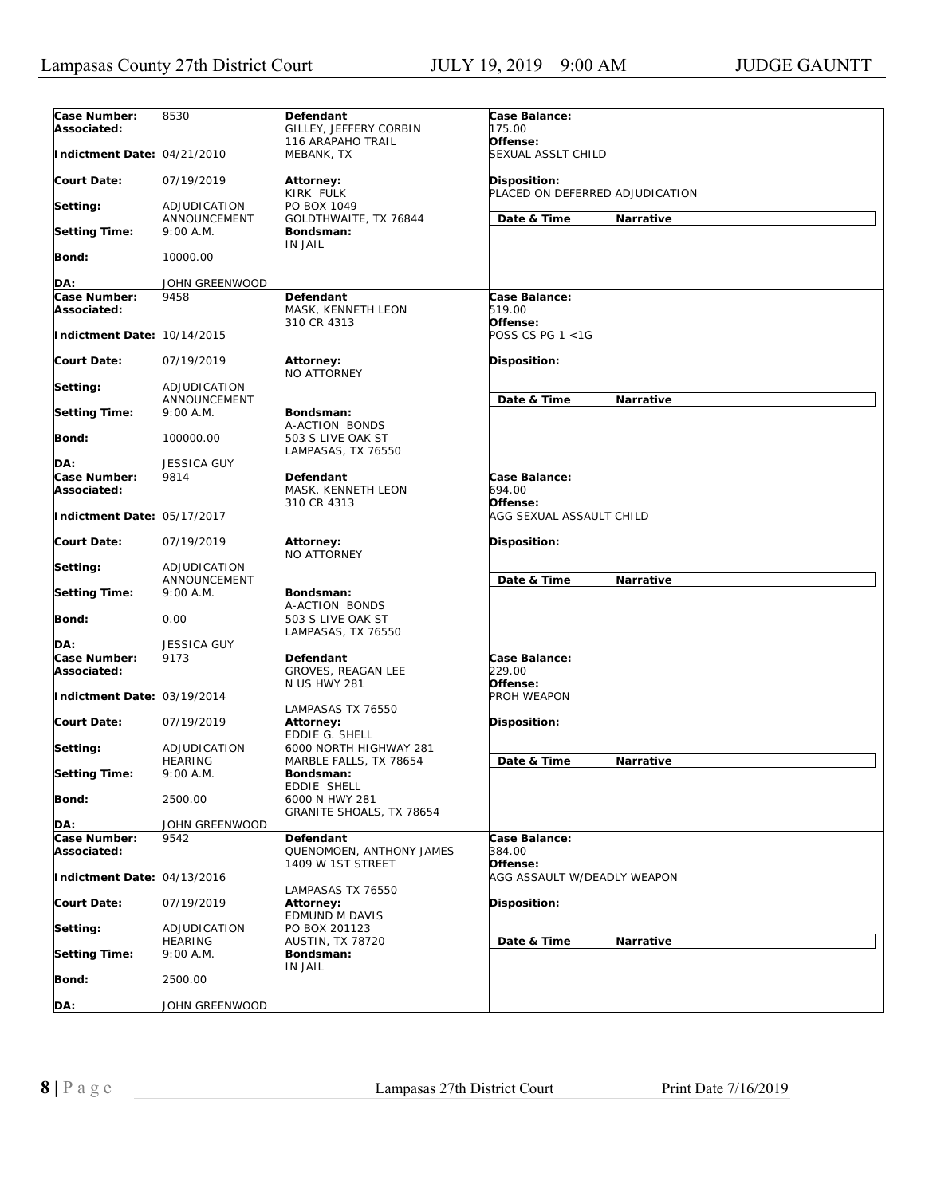| Case Number:                | 8530               | Defendant                 | Case Balance:                   |
|-----------------------------|--------------------|---------------------------|---------------------------------|
| Associated:                 |                    | GILLEY, JEFFERY CORBIN    | 175.00                          |
|                             |                    | 116 ARAPAHO TRAIL         | Offense:                        |
| Indictment Date: 04/21/2010 |                    | MEBANK, TX                | SEXUAL ASSLT CHILD              |
|                             |                    |                           |                                 |
| <b>Court Date:</b>          | 07/19/2019         | Attorney:                 | Disposition:                    |
|                             |                    | KIRK FULK                 | PLACED ON DEFERRED ADJUDICATION |
| Setting:                    | ADJUDICATION       | PO BOX 1049               |                                 |
|                             | ANNOUNCEMENT       | GOLDTHWAITE, TX 76844     | Date & Time<br>Narrative        |
| <b>Setting Time:</b>        | 9:00 A.M.          | Bondsman:                 |                                 |
|                             |                    | <b>IN JAIL</b>            |                                 |
| <b>Bond:</b>                |                    |                           |                                 |
|                             | 10000.00           |                           |                                 |
|                             |                    |                           |                                 |
| DA:                         | JOHN GREENWOOD     |                           |                                 |
| Case Number:                | 9458               | <b>Defendant</b>          | Case Balance:                   |
| Associated:                 |                    | MASK, KENNETH LEON        | 519.00                          |
|                             |                    | 310 CR 4313               | Offense:                        |
| Indictment Date: 10/14/2015 |                    |                           | POSS CS PG $1 < 1G$             |
|                             |                    |                           |                                 |
| <b>Court Date:</b>          | 07/19/2019         | <b>Attorney:</b>          | Disposition:                    |
|                             |                    | NO ATTORNEY               |                                 |
| Setting:                    | ADJUDICATION       |                           |                                 |
|                             | ANNOUNCEMENT       |                           | Date & Time<br>Narrative        |
| <b>Setting Time:</b>        | 9:00 A.M.          | Bondsman:                 |                                 |
|                             |                    | A-ACTION BONDS            |                                 |
| <b>Bond:</b>                | 100000.00          | 503 S LIVE OAK ST         |                                 |
|                             |                    | LAMPASAS, TX 76550        |                                 |
| DA:                         | <b>JESSICA GUY</b> |                           |                                 |
| Case Number:                | 9814               |                           | Case Balance:                   |
| Associated:                 |                    | Defendant                 |                                 |
|                             |                    | MASK, KENNETH LEON        | 694.00                          |
|                             |                    | 310 CR 4313               | Offense:                        |
| Indictment Date: 05/17/2017 |                    |                           | AGG SEXUAL ASSAULT CHILD        |
|                             |                    |                           |                                 |
| <b>Court Date:</b>          | 07/19/2019         | <b>Attorney:</b>          | Disposition:                    |
|                             |                    | NO ATTORNEY               |                                 |
| Setting:                    | ADJUDICATION       |                           |                                 |
|                             | ANNOUNCEMENT       |                           | Date & Time<br>Narrative        |
| <b>Setting Time:</b>        | 9:00 A.M.          | Bondsman:                 |                                 |
|                             |                    | A-ACTION BONDS            |                                 |
| <b>Bond:</b>                | 0.00               | 503 S LIVE OAK ST         |                                 |
|                             |                    | LAMPASAS, TX 76550        |                                 |
| DA:                         | <b>JESSICA GUY</b> |                           |                                 |
| <b>Case Number:</b>         | 9173               | Defendant                 | Case Balance:                   |
| Associated:                 |                    | <b>GROVES, REAGAN LEE</b> | 229.00                          |
|                             |                    | N US HWY 281              | Offense:                        |
| Indictment Date: 03/19/2014 |                    |                           | PROH WEAPON                     |
|                             |                    |                           |                                 |
| <b>Court Date:</b>          | 07/19/2019         | LAMPASAS TX 76550         |                                 |
|                             |                    | <b>Attorney:</b>          | Disposition:                    |
|                             |                    | EDDIE G. SHELL            |                                 |
| Setting:                    | ADJUDICATION       | 6000 NORTH HIGHWAY 281    |                                 |
|                             | <b>HEARING</b>     | MARBLE FALLS, TX 78654    | Date & Time<br>Narrative        |
| <b>Setting Time:</b>        | 9:00 A.M.          | Bondsman:                 |                                 |
|                             |                    | <b>EDDIE SHELL</b>        |                                 |
| <b>Bond:</b>                | 2500.00            | 6000 N HWY 281            |                                 |
|                             |                    | GRANITE SHOALS, TX 78654  |                                 |
| DA:                         | JOHN GREENWOOD     |                           |                                 |
| Case Number:                | 9542               | Defendant                 | Case Balance:                   |
| Associated:                 |                    | QUENOMOEN, ANTHONY JAMES  | 384.00                          |
|                             |                    | 1409 W 1ST STREET         | Offense:                        |
| Indictment Date: 04/13/2016 |                    |                           | AGG ASSAULT W/DEADLY WEAPON     |
|                             |                    | LAMPASAS TX 76550         |                                 |
| <b>Court Date:</b>          | 07/19/2019         | <b>Attorney:</b>          | Disposition:                    |
|                             |                    | <b>EDMUND M DAVIS</b>     |                                 |
| Setting:                    | ADJUDICATION       | PO BOX 201123             |                                 |
|                             | <b>HEARING</b>     | AUSTIN, TX 78720          | Date & Time<br>Narrative        |
| <b>Setting Time:</b>        | 9:00 A.M.          | Bondsman:                 |                                 |
|                             |                    | IN JAIL                   |                                 |
| Bond:                       | 2500.00            |                           |                                 |
|                             |                    |                           |                                 |
|                             |                    |                           |                                 |
| DA:                         | JOHN GREENWOOD     |                           |                                 |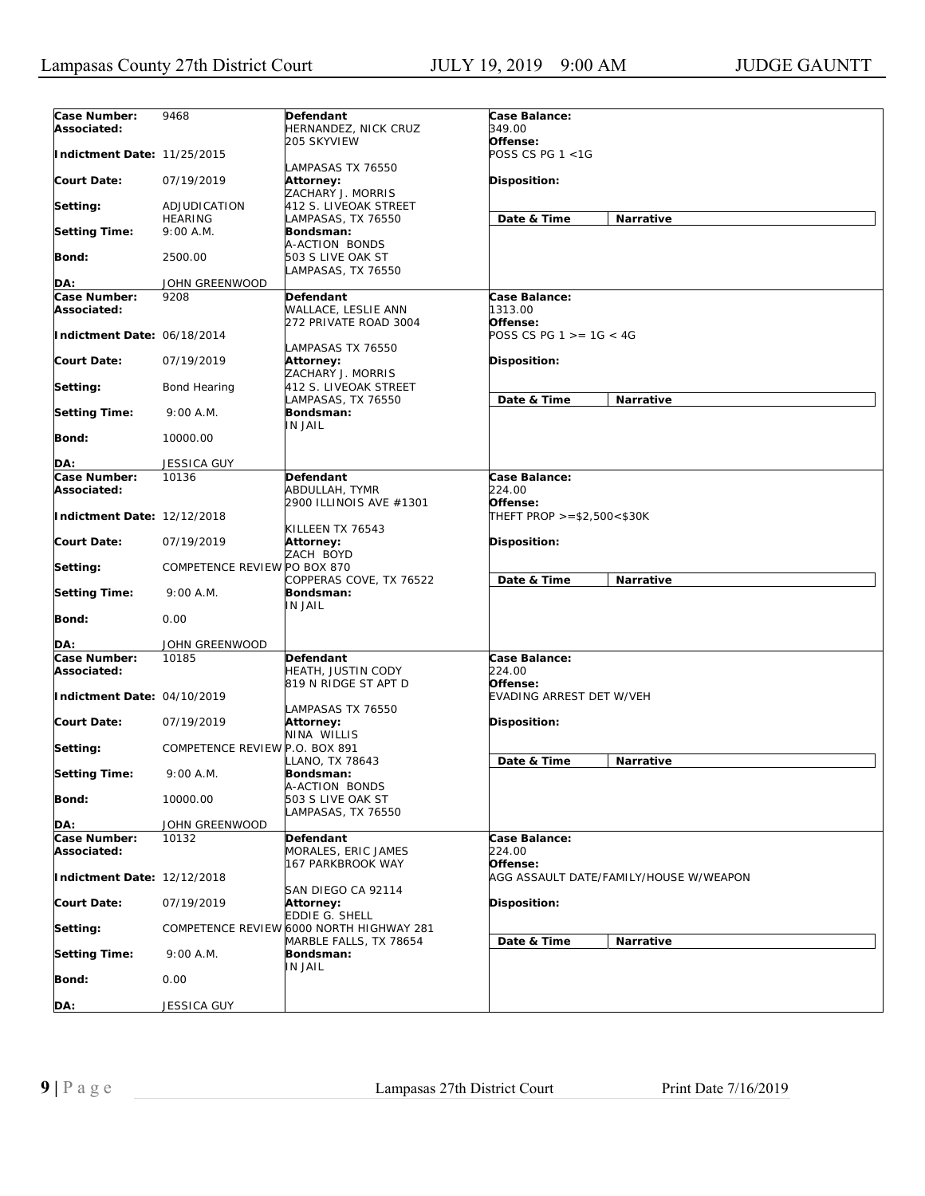| Case Number:<br>Associated: | 9468                           | Defendant<br>HERNANDEZ, NICK CRUZ                          | Case Balance:<br>349.00                    |                                        |
|-----------------------------|--------------------------------|------------------------------------------------------------|--------------------------------------------|----------------------------------------|
| Indictment Date: 11/25/2015 |                                | 205 SKYVIEW                                                | Offense:<br>POSS CS PG 1 <1G               |                                        |
| <b>Court Date:</b>          | 07/19/2019                     | LAMPASAS TX 76550<br>Attorney:<br>ZACHARY J. MORRIS        | Disposition:                               |                                        |
| Setting:                    | ADJUDICATION                   | 412 S. LIVEOAK STREET                                      |                                            |                                        |
| <b>Setting Time:</b>        | <b>HEARING</b><br>9:00 A.M.    | LAMPASAS, TX 76550<br>Bondsman:                            | Date & Time                                | Narrative                              |
| Bond:                       | 2500.00                        | A-ACTION BONDS<br>503 S LIVE OAK ST                        |                                            |                                        |
| DA:                         | JOHN GREENWOOD                 | LAMPASAS, TX 76550                                         |                                            |                                        |
| Case Number:                | 9208                           | Defendant                                                  | Case Balance:                              |                                        |
| Associated:                 |                                | WALLACE, LESLIE ANN<br>272 PRIVATE ROAD 3004               | 1313.00<br>Offense:                        |                                        |
| Indictment Date: 06/18/2014 |                                | LAMPASAS TX 76550                                          | POSS CS PG $1 > = 1G < 4G$                 |                                        |
| <b>Court Date:</b>          | 07/19/2019                     | Attorney:<br>ZACHARY J. MORRIS                             | <b>Disposition:</b>                        |                                        |
| Setting:                    | Bond Hearing                   | 412 S. LIVEOAK STREET<br>LAMPASAS, TX 76550                | Date & Time                                | Narrative                              |
| <b>Setting Time:</b>        | $9:00$ A.M.                    | Bondsman:<br>IN JAIL                                       |                                            |                                        |
| Bond:                       | 10000.00                       |                                                            |                                            |                                        |
| DA:                         | <b>JESSICA GUY</b>             |                                                            |                                            |                                        |
| Case Number:<br>Associated: | 10136                          | Defendant<br>ABDULLAH, TYMR                                | Case Balance:<br>224.00                    |                                        |
| Indictment Date: 12/12/2018 |                                | 2900 ILLINOIS AVE #1301<br>KILLEEN TX 76543                | Offense:<br>THEFT PROP $> = $2,500 < $30K$ |                                        |
| <b>Court Date:</b>          | 07/19/2019                     | Attorney:<br>ZACH BOYD                                     | <b>Disposition:</b>                        |                                        |
| Setting:                    | COMPETENCE REVIEW PO BOX 870   | COPPERAS COVE, TX 76522                                    | Date & Time                                | Narrative                              |
| <b>Setting Time:</b>        | 9:00 A.M.                      | Bondsman:<br>IN JAIL                                       |                                            |                                        |
| <b>Bond:</b>                | 0.00                           |                                                            |                                            |                                        |
| DA:                         | JOHN GREENWOOD                 |                                                            |                                            |                                        |
| Case Number:<br>Associated: | 10185                          | Defendant<br>HEATH, JUSTIN CODY<br>819 N RIDGE ST APT D    | Case Balance:<br>224.00<br>Offense:        |                                        |
| Indictment Date: 04/10/2019 |                                |                                                            | EVADING ARREST DET W/VEH                   |                                        |
| <b>Court Date:</b>          | 07/19/2019                     | LAMPASAS TX 76550<br>Attorney:<br>NINA WILLIS              | <b>Disposition:</b>                        |                                        |
| Setting:                    | COMPETENCE REVIEW P.O. BOX 891 | LLANO, TX 78643                                            | Date & Time                                | <b>Narrative</b>                       |
| <b>Setting Time:</b>        | 9:00 A.M.                      | Bondsman:<br>A-ACTION BONDS                                |                                            |                                        |
| Bond:                       | 10000.00                       | 503 S LIVE OAK ST<br>LAMPASAS, TX 76550                    |                                            |                                        |
| DA:                         | JOHN GREENWOOD                 |                                                            |                                            |                                        |
| Case Number:<br>Associated: | 10132                          | Defendant<br>MORALES, ERIC JAMES                           | Case Balance:<br>224.00                    |                                        |
| Indictment Date: 12/12/2018 |                                | 167 PARKBROOK WAY                                          | Offense:                                   | AGG ASSAULT DATE/FAMILY/HOUSE W/WEAPON |
| <b>Court Date:</b>          | 07/19/2019                     | SAN DIEGO CA 92114<br>Attorney:                            | Disposition:                               |                                        |
| Setting:                    |                                | EDDIE G. SHELL<br>COMPETENCE REVIEW 6000 NORTH HIGHWAY 281 |                                            |                                        |
| <b>Setting Time:</b>        | 9:00 A.M.                      | MARBLE FALLS, TX 78654<br>Bondsman:                        | Date & Time                                | Narrative                              |
| Bond:                       | 0.00                           | IN JAIL                                                    |                                            |                                        |
| DA:                         | JESSICA GUY                    |                                                            |                                            |                                        |